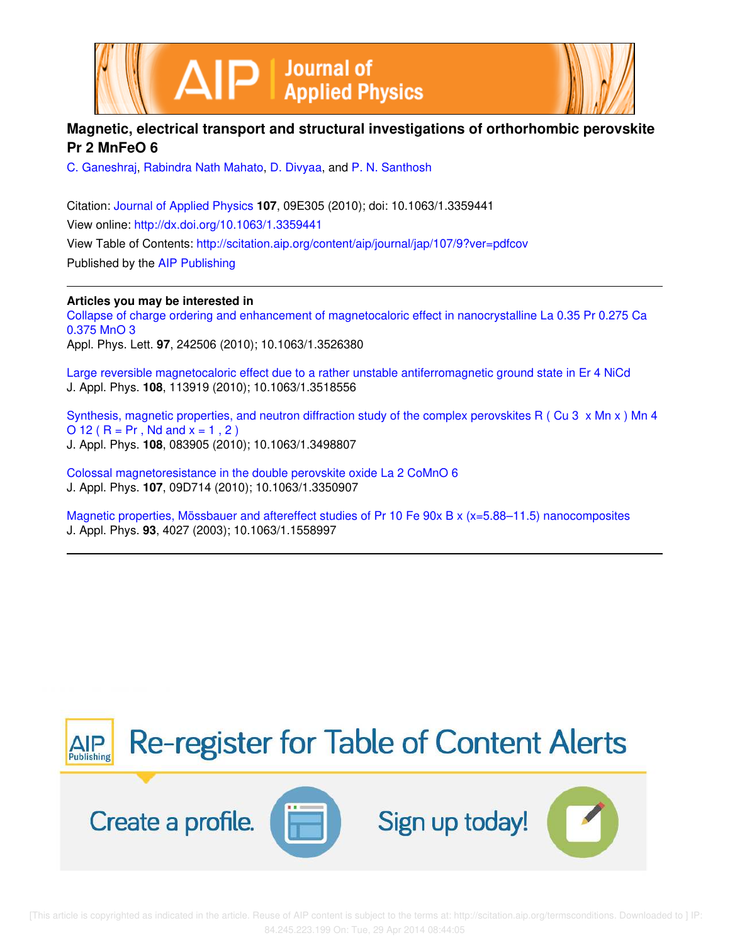



# **Magnetic, electrical transport and structural investigations of orthorhombic perovskite Pr 2 MnFeO 6**

C. Ganeshraj, Rabindra Nath Mahato, D. Divyaa, and P. N. Santhosh

Citation: Journal of Applied Physics **107**, 09E305 (2010); doi: 10.1063/1.3359441 View online: http://dx.doi.org/10.1063/1.3359441 View Table of Contents: http://scitation.aip.org/content/aip/journal/jap/107/9?ver=pdfcov Published by the AIP Publishing

**Articles you may be interested in**

Collapse of charge ordering and enhancement of magnetocaloric effect in nanocrystalline La 0.35 Pr 0.275 Ca 0.375 MnO 3

Appl. Phys. Lett. **97**, 242506 (2010); 10.1063/1.3526380

Large reversible magnetocaloric effect due to a rather unstable antiferromagnetic ground state in Er 4 NiCd J. Appl. Phys. **108**, 113919 (2010); 10.1063/1.3518556

Synthesis, magnetic properties, and neutron diffraction study of the complex perovskites R ( Cu 3 x Mn x ) Mn 4 O 12 ( $R = Pr$ , Nd and  $x = 1, 2$ ) J. Appl. Phys. **108**, 083905 (2010); 10.1063/1.3498807

Colossal magnetoresistance in the double perovskite oxide La 2 CoMnO 6 J. Appl. Phys. **107**, 09D714 (2010); 10.1063/1.3350907

Magnetic properties, Mössbauer and aftereffect studies of Pr 10 Fe 90x B x (x=5.88–11.5) nanocomposites J. Appl. Phys. **93**, 4027 (2003); 10.1063/1.1558997



 [This article is copyrighted as indicated in the article. Reuse of AIP content is subject to the terms at: http://scitation.aip.org/termsconditions. Downloaded to ] IP: 84.245.223.199 On: Tue, 29 Apr 2014 08:44:05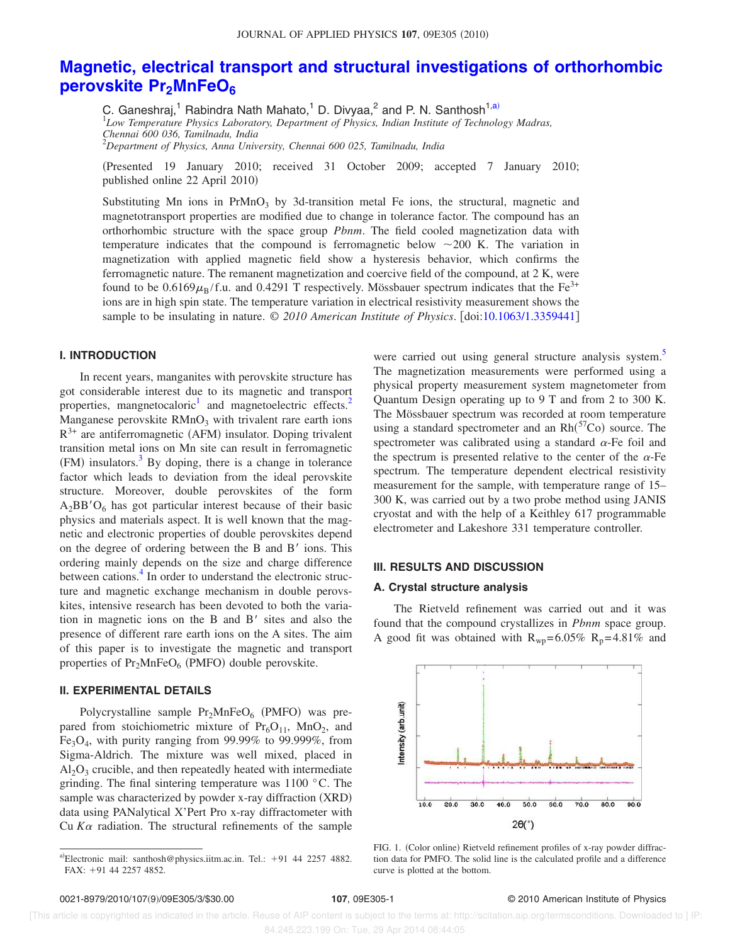# **Magnetic, electrical transport and structural investigations of orthorhombic perovskite Pr2MnFeO<sup>6</sup>**

C. Ganeshraj,<sup>1</sup> Rabindra Nath Mahato,<sup>1</sup> D. Divyaa,<sup>2</sup> and P. N. Santhosh<sup>1,a)</sup><br><sup>1</sup>Low Temperature Physics Laboratory, Department of Physics, Indian Institute of Technology Madras,

*Chennai 600 036, Tamilnadu, India*

<sup>2</sup>*Department of Physics, Anna University, Chennai 600 025, Tamilnadu, India*

Presented 19 January 2010; received 31 October 2009; accepted 7 January 2010; published online 22 April 2010)

Substituting Mn ions in PrMnO<sub>3</sub> by 3d-transition metal Fe ions, the structural, magnetic and magnetotransport properties are modified due to change in tolerance factor. The compound has an orthorhombic structure with the space group *Pbnm*. The field cooled magnetization data with temperature indicates that the compound is ferromagnetic below  $\sim$ 200 K. The variation in magnetization with applied magnetic field show a hysteresis behavior, which confirms the ferromagnetic nature. The remanent magnetization and coercive field of the compound, at 2 K, were found to be  $0.6169\mu_B/f.u.$  and  $0.4291$  T respectively. Mössbauer spectrum indicates that the Fe<sup>3+</sup> ions are in high spin state. The temperature variation in electrical resistivity measurement shows the sample to be insulating in nature. © *2010 American Institute of Physics*. doi:10.1063/1.3359441

## **I. INTRODUCTION**

In recent years, manganites with perovskite structure has got considerable interest due to its magnetic and transport properties, mangnetocaloric<sup>1</sup> and magnetoelectric effects.<sup>2</sup> Manganese perovskite  $RMnO<sub>3</sub>$  with trivalent rare earth ions  $R^{3+}$  are antiferromagnetic (AFM) insulator. Doping trivalent transition metal ions on Mn site can result in ferromagnetic  $(FM)$  insulators.<sup>3</sup> By doping, there is a change in tolerance factor which leads to deviation from the ideal perovskite structure. Moreover, double perovskites of the form  $A_2BB'O_6$  has got particular interest because of their basic physics and materials aspect. It is well known that the magnetic and electronic properties of double perovskites depend on the degree of ordering between the B and  $B'$  ions. This ordering mainly depends on the size and charge difference between cations.<sup>4</sup> In order to understand the electronic structure and magnetic exchange mechanism in double perovskites, intensive research has been devoted to both the variation in magnetic ions on the B and  $B'$  sites and also the presence of different rare earth ions on the A sites. The aim of this paper is to investigate the magnetic and transport properties of Pr<sub>2</sub>MnFeO<sub>6</sub> (PMFO) double perovskite.

#### **II. EXPERIMENTAL DETAILS**

Polycrystalline sample Pr<sub>2</sub>MnFeO<sub>6</sub> (PMFO) was prepared from stoichiometric mixture of  $Pr<sub>6</sub>O<sub>11</sub>$ , MnO<sub>2</sub>, and  $Fe<sub>3</sub>O<sub>4</sub>$ , with purity ranging from 99.99% to 99.999%, from Sigma-Aldrich. The mixture was well mixed, placed in  $Al<sub>2</sub>O<sub>3</sub>$  crucible, and then repeatedly heated with intermediate grinding. The final sintering temperature was 1100 °C. The sample was characterized by powder x-ray diffraction (XRD) data using PANalytical X'Pert Pro x-ray diffractometer with Cu  $K\alpha$  radiation. The structural refinements of the sample

were carried out using general structure analysis system.<sup>5</sup> The magnetization measurements were performed using a physical property measurement system magnetometer from Quantum Design operating up to 9 T and from 2 to 300 K. The Mössbauer spectrum was recorded at room temperature using a standard spectrometer and an  $Rh<sup>(57</sup>Co)$  source. The spectrometer was calibrated using a standard  $\alpha$ -Fe foil and the spectrum is presented relative to the center of the  $\alpha$ -Fe spectrum. The temperature dependent electrical resistivity measurement for the sample, with temperature range of 15– 300 K, was carried out by a two probe method using JANIS cryostat and with the help of a Keithley 617 programmable electrometer and Lakeshore 331 temperature controller.

## **III. RESULTS AND DISCUSSION**

### **A. Crystal structure analysis**

The Rietveld refinement was carried out and it was found that the compound crystallizes in *Pbnm* space group. A good fit was obtained with  $R_{wp} = 6.05\% R_p = 4.81\%$  and



FIG. 1. (Color online) Rietveld refinement profiles of x-ray powder diffraction data for PMFO. The solid line is the calculated profile and a difference curve is plotted at the bottom.

### 107, 09E305-1 <sup>©</sup> 2010 American Institute of Physics

 [This article is copyrighted as indicated in the article. Reuse of AIP content is subject to the terms at: http://scitation.aip.org/termsconditions. Downloaded to ] IP: 84.245.223.199 On: Tue, 29 Apr 2014 08:44:05

a)Electronic mail: santhosh@physics.iitm.ac.in. Tel.: +91 44 2257 4882.  $FAX: +91$  44 2257 4852.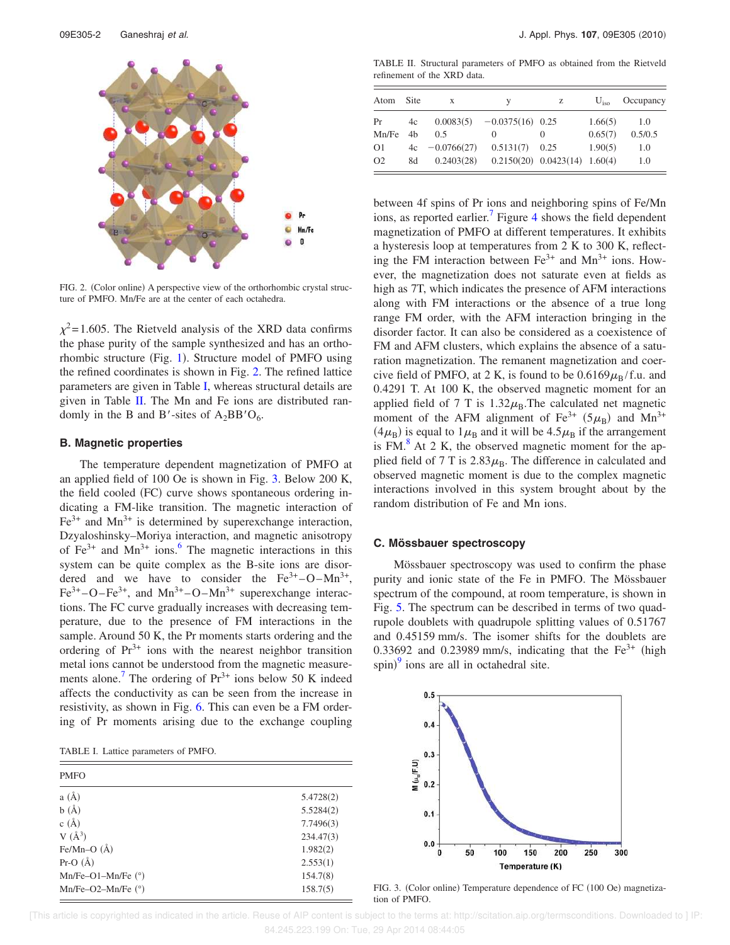

FIG. 2. (Color online) A perspective view of the orthorhombic crystal structure of PMFO. Mn/Fe are at the center of each octahedra.

 $\chi^2$ =1.605. The Rietveld analysis of the XRD data confirms the phase purity of the sample synthesized and has an orthorhombic structure (Fig. 1). Structure model of PMFO using the refined coordinates is shown in Fig. 2. The refined lattice parameters are given in Table I, whereas structural details are given in Table II. The Mn and Fe ions are distributed randomly in the B and B'-sites of  $A_2BB'O_6$ .

### **B. Magnetic properties**

The temperature dependent magnetization of PMFO at an applied field of 100 Oe is shown in Fig. 3. Below 200 K, the field cooled (FC) curve shows spontaneous ordering indicating a FM-like transition. The magnetic interaction of  $Fe<sup>3+</sup>$  and Mn<sup>3+</sup> is determined by superexchange interaction, Dzyaloshinsky–Moriya interaction, and magnetic anisotropy of  $Fe^{3+}$  and  $Mn^{3+}$  ions.<sup>6</sup> The magnetic interactions in this system can be quite complex as the B-site ions are disordered and we have to consider the  $Fe^{3+} - O - Mn^{3+}$ ,  $Fe^{3+}$ -O–Fe<sup>3+</sup>, and Mn<sup>3+</sup>-O–Mn<sup>3+</sup> superexchange interactions. The FC curve gradually increases with decreasing temperature, due to the presence of FM interactions in the sample. Around 50 K, the Pr moments starts ordering and the ordering of  $Pr^{3+}$  ions with the nearest neighbor transition metal ions cannot be understood from the magnetic measurements alone.<sup>7</sup> The ordering of  $Pr^{3+}$  ions below 50 K indeed affects the conductivity as can be seen from the increase in resistivity, as shown in Fig. 6. This can even be a FM ordering of Pr moments arising due to the exchange coupling

TABLE I. Lattice parameters of PMFO.

| <b>PMFO</b>          |           |
|----------------------|-----------|
| a(A)                 | 5.4728(2) |
| b(A)                 | 5.5284(2) |
| c $(\AA)$            | 7.7496(3) |
| $V(\AA^3)$           | 234.47(3) |
| Fe/Mn-O $(A)$        | 1.982(2)  |
| $Pr-O(A)$            | 2.553(1)  |
| Mn/Fe-O1-Mn/Fe $(°)$ | 154.7(8)  |
| Mn/Fe-O2-Mn/Fe $(°)$ | 158.7(5)  |

TABLE II. Structural parameters of PMFO as obtained from the Rietveld refinement of the XRD data.

| Atom           | Site           | X             | V                                   | Z                | $U_{\rm iso}$ | Occupancy |
|----------------|----------------|---------------|-------------------------------------|------------------|---------------|-----------|
| Pr             | 4c             |               | $0.0083(5) -0.0375(16) 0.25$        |                  | 1.66(5)       | 1.0       |
| Mn/Fe          | 4 <sub>h</sub> | 0.5           | $\theta$                            | $\left( \right)$ | 0.65(7)       | 0.5/0.5   |
| O <sub>1</sub> | 4c             | $-0.0766(27)$ | $0.5131(7)$ 0.25                    |                  | 1.90(5)       | 1.0       |
| O <sub>2</sub> | 8d             | 0.2403(28)    | $0.2150(20)$ $0.0423(14)$ $1.60(4)$ |                  |               | 1.0       |

between 4f spins of Pr ions and neighboring spins of Fe/Mn ions, as reported earlier.<sup>7</sup> Figure 4 shows the field dependent magnetization of PMFO at different temperatures. It exhibits a hysteresis loop at temperatures from 2 K to 300 K, reflecting the FM interaction between  $Fe^{3+}$  and  $Mn^{3+}$  ions. However, the magnetization does not saturate even at fields as high as 7T, which indicates the presence of AFM interactions along with FM interactions or the absence of a true long range FM order, with the AFM interaction bringing in the disorder factor. It can also be considered as a coexistence of FM and AFM clusters, which explains the absence of a saturation magnetization. The remanent magnetization and coercive field of PMFO, at 2 K, is found to be  $0.6169\mu_B/f.u.$  and 0.4291 T. At 100 K, the observed magnetic moment for an applied field of 7 T is  $1.32\mu$ <sub>B</sub>. The calculated net magnetic moment of the AFM alignment of Fe<sup>3+</sup> ( $5\mu_B$ ) and Mn<sup>3+</sup>  $(4\mu_B)$  is equal to  $1\mu_B$  and it will be  $4.5\mu_B$  if the arrangement is  $FM<sup>8</sup>$  At 2 K, the observed magnetic moment for the applied field of 7 T is  $2.83\mu$ <sub>B</sub>. The difference in calculated and observed magnetic moment is due to the complex magnetic interactions involved in this system brought about by the random distribution of Fe and Mn ions.

## **C. Mössbauer spectroscopy**

Mössbauer spectroscopy was used to confirm the phase purity and ionic state of the Fe in PMFO. The Mössbauer spectrum of the compound, at room temperature, is shown in Fig. 5. The spectrum can be described in terms of two quadrupole doublets with quadrupole splitting values of 0.51767 and 0.45159 mm/s. The isomer shifts for the doublets are 0.33692 and 0.23989 mm/s, indicating that the  $Fe<sup>3+</sup>$  (high spin)<sup>9</sup> ions are all in octahedral site.



FIG. 3. (Color online) Temperature dependence of FC (100 Oe) magnetization of PMFO.

 [This article is copyrighted as indicated in the article. Reuse of AIP content is subject to the terms at: http://scitation.aip.org/termsconditions. Downloaded to ] IP: 84.245.223.199 On: Tue, 29 Apr 2014 08:44:05